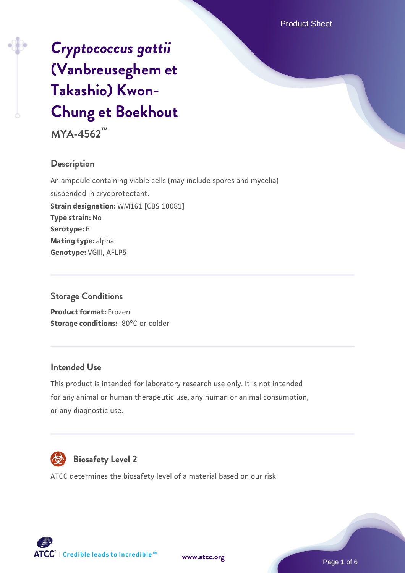# *[Cryptococcus gattii](https://www.atcc.org/products/mya-4562)* **[\(Vanbreuseghem et](https://www.atcc.org/products/mya-4562) [Takashio\) Kwon-](https://www.atcc.org/products/mya-4562)[Chung et Boekhout](https://www.atcc.org/products/mya-4562)**

**MYA-4562™**

### **Description**

An ampoule containing viable cells (may include spores and mycelia) suspended in cryoprotectant. **Strain designation:** WM161 [CBS 10081] **Type strain:** No **Serotype:** B **Mating type:** alpha **Genotype:** VGIII, AFLP5

#### **Storage Conditions**

**Product format:** Frozen **Storage conditions: -80°C or colder** 

#### **Intended Use**

This product is intended for laboratory research use only. It is not intended for any animal or human therapeutic use, any human or animal consumption, or any diagnostic use.



## **Biosafety Level 2**

ATCC determines the biosafety level of a material based on our risk



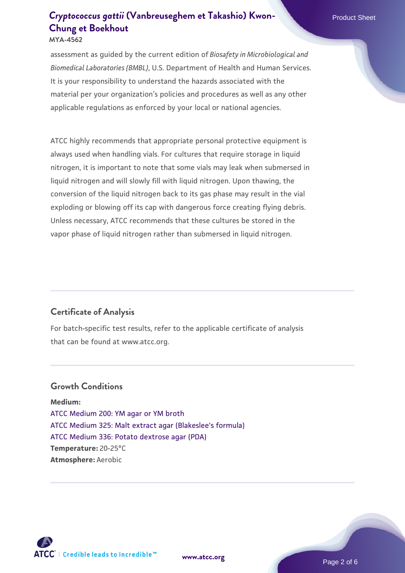# **[Cryptococcus gattii](https://www.atcc.org/products/mya-4562)** [\(Vanbreuseghem et Takashio\) Kwon-](https://www.atcc.org/products/mya-4562)**New American Product Sheet [Chung et Boekhout](https://www.atcc.org/products/mya-4562)**

**MYA-4562**

assessment as guided by the current edition of *Biosafety in Microbiological and Biomedical Laboratories (BMBL)*, U.S. Department of Health and Human Services. It is your responsibility to understand the hazards associated with the material per your organization's policies and procedures as well as any other applicable regulations as enforced by your local or national agencies.

ATCC highly recommends that appropriate personal protective equipment is always used when handling vials. For cultures that require storage in liquid nitrogen, it is important to note that some vials may leak when submersed in liquid nitrogen and will slowly fill with liquid nitrogen. Upon thawing, the conversion of the liquid nitrogen back to its gas phase may result in the vial exploding or blowing off its cap with dangerous force creating flying debris. Unless necessary, ATCC recommends that these cultures be stored in the vapor phase of liquid nitrogen rather than submersed in liquid nitrogen.

## **Certificate of Analysis**

For batch-specific test results, refer to the applicable certificate of analysis that can be found at www.atcc.org.

#### **Growth Conditions**

**Medium:**  [ATCC Medium 200: YM agar or YM broth](https://www.atcc.org/-/media/product-assets/documents/microbial-media-formulations/2/0/0/atcc-medium-200.pdf?rev=ac40fd74dc13433a809367b0b9da30fc) [ATCC Medium 325: Malt extract agar \(Blakeslee's formula\)](https://www.atcc.org/-/media/product-assets/documents/microbial-media-formulations/3/2/5/atcc-medium-325.pdf?rev=146ec77015184a96912232dcb12386f9) [ATCC Medium 336: Potato dextrose agar \(PDA\)](https://www.atcc.org/-/media/product-assets/documents/microbial-media-formulations/3/3/6/atcc-medium-336.pdf?rev=d9160ad44d934cd8b65175461abbf3b9) **Temperature:** 20-25°C **Atmosphere:** Aerobic

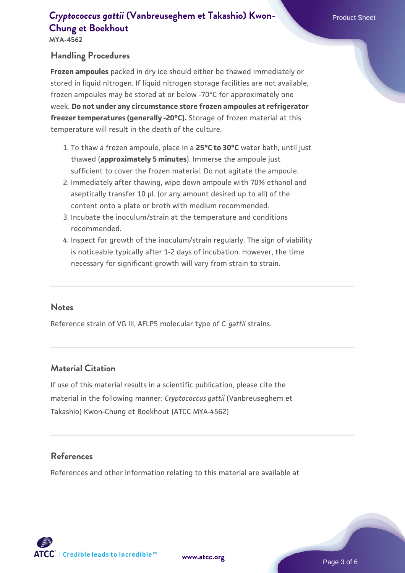# **[Cryptococcus gattii](https://www.atcc.org/products/mya-4562)** [\(Vanbreuseghem et Takashio\) Kwon-](https://www.atcc.org/products/mya-4562) Product Sheet **[Chung et Boekhout](https://www.atcc.org/products/mya-4562)**

**MYA-4562**

#### **Handling Procedures**

**Frozen ampoules** packed in dry ice should either be thawed immediately or stored in liquid nitrogen. If liquid nitrogen storage facilities are not available, frozen ampoules may be stored at or below -70°C for approximately one week. **Do not under any circumstance store frozen ampoules at refrigerator freezer temperatures (generally -20°C).** Storage of frozen material at this temperature will result in the death of the culture.

- 1. To thaw a frozen ampoule, place in a **25°C to 30°C** water bath, until just thawed (**approximately 5 minutes**). Immerse the ampoule just sufficient to cover the frozen material. Do not agitate the ampoule.
- 2. Immediately after thawing, wipe down ampoule with 70% ethanol and aseptically transfer 10 µL (or any amount desired up to all) of the content onto a plate or broth with medium recommended.
- Incubate the inoculum/strain at the temperature and conditions 3. recommended.
- 4. Inspect for growth of the inoculum/strain regularly. The sign of viability is noticeable typically after 1-2 days of incubation. However, the time necessary for significant growth will vary from strain to strain.

#### **Notes**

Reference strain of VG III, AFLP5 molecular type of *C. gattii* strains.

#### **Material Citation**

If use of this material results in a scientific publication, please cite the material in the following manner: *Cryptococcus gattii* (Vanbreuseghem et Takashio) Kwon-Chung et Boekhout (ATCC MYA-4562)

#### **References**

References and other information relating to this material are available at



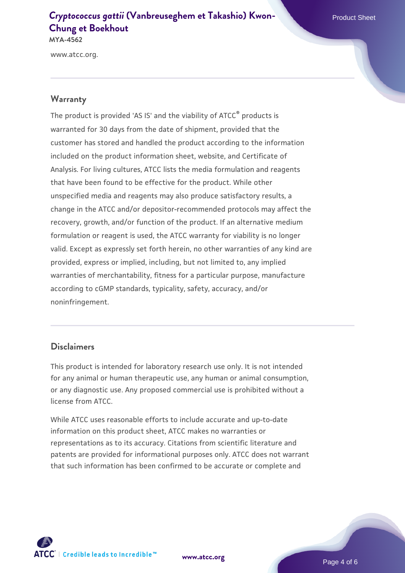#### **[Cryptococcus gattii](https://www.atcc.org/products/mya-4562)** [\(Vanbreuseghem et Takashio\) Kwon-](https://www.atcc.org/products/mya-4562) **[Chung et Boekhout](https://www.atcc.org/products/mya-4562) MYA-4562**

www.atcc.org.

#### **Warranty**

The product is provided 'AS IS' and the viability of ATCC® products is warranted for 30 days from the date of shipment, provided that the customer has stored and handled the product according to the information included on the product information sheet, website, and Certificate of Analysis. For living cultures, ATCC lists the media formulation and reagents that have been found to be effective for the product. While other unspecified media and reagents may also produce satisfactory results, a change in the ATCC and/or depositor-recommended protocols may affect the recovery, growth, and/or function of the product. If an alternative medium formulation or reagent is used, the ATCC warranty for viability is no longer valid. Except as expressly set forth herein, no other warranties of any kind are provided, express or implied, including, but not limited to, any implied warranties of merchantability, fitness for a particular purpose, manufacture according to cGMP standards, typicality, safety, accuracy, and/or noninfringement.

#### **Disclaimers**

This product is intended for laboratory research use only. It is not intended for any animal or human therapeutic use, any human or animal consumption, or any diagnostic use. Any proposed commercial use is prohibited without a license from ATCC.

While ATCC uses reasonable efforts to include accurate and up-to-date information on this product sheet, ATCC makes no warranties or representations as to its accuracy. Citations from scientific literature and patents are provided for informational purposes only. ATCC does not warrant that such information has been confirmed to be accurate or complete and



**[www.atcc.org](http://www.atcc.org)**

Page 4 of 6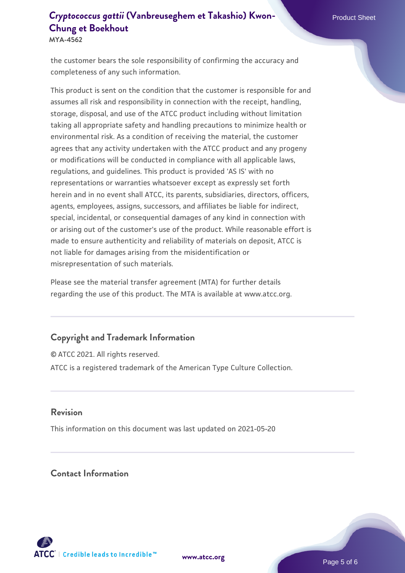# **[Cryptococcus gattii](https://www.atcc.org/products/mya-4562)** [\(Vanbreuseghem et Takashio\) Kwon-](https://www.atcc.org/products/mya-4562) Product Sheet **[Chung et Boekhout](https://www.atcc.org/products/mya-4562)**

**MYA-4562**

the customer bears the sole responsibility of confirming the accuracy and completeness of any such information.

This product is sent on the condition that the customer is responsible for and assumes all risk and responsibility in connection with the receipt, handling, storage, disposal, and use of the ATCC product including without limitation taking all appropriate safety and handling precautions to minimize health or environmental risk. As a condition of receiving the material, the customer agrees that any activity undertaken with the ATCC product and any progeny or modifications will be conducted in compliance with all applicable laws, regulations, and guidelines. This product is provided 'AS IS' with no representations or warranties whatsoever except as expressly set forth herein and in no event shall ATCC, its parents, subsidiaries, directors, officers, agents, employees, assigns, successors, and affiliates be liable for indirect, special, incidental, or consequential damages of any kind in connection with or arising out of the customer's use of the product. While reasonable effort is made to ensure authenticity and reliability of materials on deposit, ATCC is not liable for damages arising from the misidentification or misrepresentation of such materials.

Please see the material transfer agreement (MTA) for further details regarding the use of this product. The MTA is available at www.atcc.org.

#### **Copyright and Trademark Information**

© ATCC 2021. All rights reserved. ATCC is a registered trademark of the American Type Culture Collection.

#### **Revision**

This information on this document was last updated on 2021-05-20

#### **Contact Information**